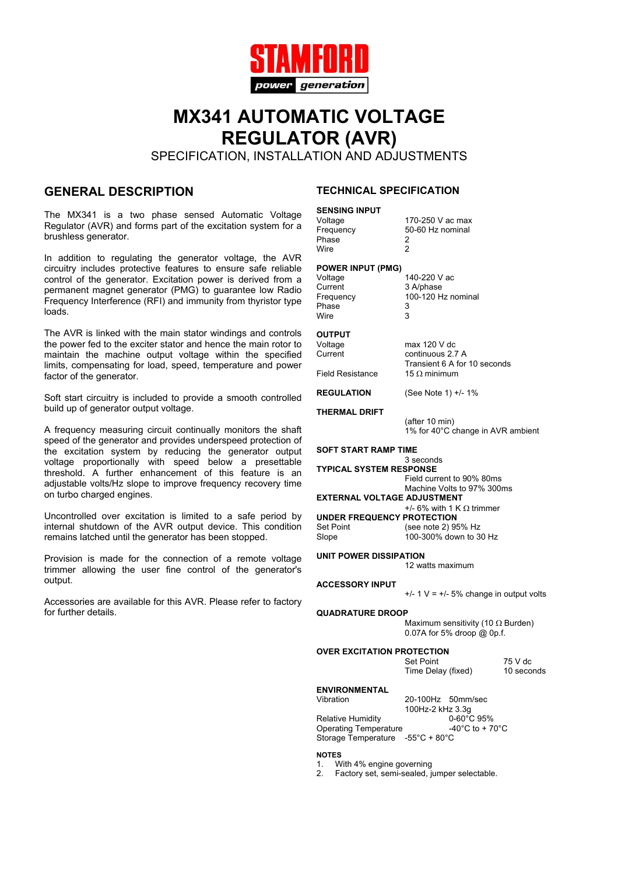

# **MX341 AUTOMATIC VOLTAGE REGULATOR (AVR)**

SPECIFICATION, INSTALLATION AND ADJUSTMENTS

### **GENERAL DESCRIPTION**

The MX341 is a two phase sensed Automatic Voltage Regulator (AVR) and forms part of the excitation system for a brushless generator.

In addition to regulating the generator voltage, the AVR circuitry includes protective features to ensure safe reliable control of the generator. Excitation power is derived from a permanent magnet generator (PMG) to guarantee low Radio Frequency Interference (RFI) and immunity from thyristor type loads.

The AVR is linked with the main stator windings and controls the power fed to the exciter stator and hence the main rotor to maintain the machine output voltage within the specified limits, compensating for load, speed, temperature and power factor of the generator.

Soft start circuitry is included to provide a smooth controlled build up of generator output voltage.

A frequency measuring circuit continually monitors the shaft speed of the generator and provides underspeed protection of the excitation system by reducing the generator output voltage proportionally with speed below a presettable threshold. A further enhancement of this feature is an adjustable volts/Hz slope to improve frequency recovery time on turbo charged engines.

Uncontrolled over excitation is limited to a safe period by internal shutdown of the AVR output device. This condition remains latched until the generator has been stopped.

Provision is made for the connection of a remote voltage trimmer allowing the user fine control of the generator's output.

Accessories are available for this AVR. Please refer to factory for further details.

### **TECHNICAL SPECIFICATION**

### **SENSING INPUT**

Frequency 50-60 Hz nominal<br>Phase 2 Phase Wire 2

Voltage 170-250 V ac max

#### **POWER INPUT (PMG)**

Voltage 140-220 V ac Current 3 A/phase Phase 3<br>Wire 3 Wire 3

Frequency 100-120 Hz nominal<br>Phase 3

## **OUTPUT**

 $max$  120 V dc Current continuous 2.7 A Transient 6 A for 10 seconds Field Resistance 15 Ω minimum

**REGULATION** (See Note 1) +/- 1%

**THERMAL DRIFT**

(after 10 min) 1% for 40°C change in AVR ambient

**SOFT START RAMP TIME**

3 seconds **TYPICAL SYSTEM RESPONSE** Field current to 90% 80ms

Machine Volts to 97% 300ms

**EXTERNAL VOLTAGE ADJUSTMENT** +/- 6% with 1 K  $\Omega$  trimmer **UNDER FREQUENCY PROTECTION**<br>
Set Point (see note 2) 99 Set Point (see note 2) 95% Hz<br>Slope 100-300% down to 3

100-300% down to 30 Hz

**UNIT POWER DISSIPATION**

12 watts maximum

### **ACCESSORY INPUT**

 $+/- 1 V = +/- 5%$  change in output volts

### **QUADRATURE DROOP**

Maximum sensitivity (10  $\Omega$  Burden) 0.07A for 5% droop @ 0p.f.

| <b>OVER EXCITATION PROTECTION</b> |                    |            |  |
|-----------------------------------|--------------------|------------|--|
|                                   | Set Point          | 75 V dc    |  |
|                                   | Time Delay (fixed) | 10 seconds |  |

**ENVIRONMENTAL**

Relative Humidity

20-100Hz 50mm/sec 100Hz-2 kHz 3.3g Operating Temperature  $-40^{\circ}$ C to + 70 $^{\circ}$ C Storage Temperature -55°C + 80°C

**NOTES**

1. With 4% engine governing

2. Factory set, semi-sealed, jumper selectable.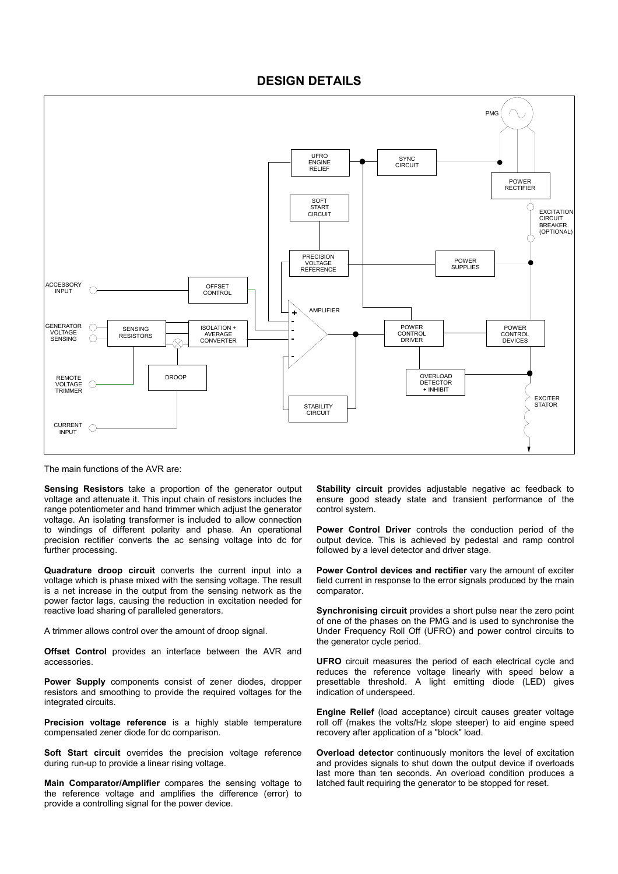### **DESIGN DETAILS**



The main functions of the AVR are:

**Sensing Resistors** take a proportion of the generator output voltage and attenuate it. This input chain of resistors includes the range potentiometer and hand trimmer which adjust the generator voltage. An isolating transformer is included to allow connection to windings of different polarity and phase. An operational precision rectifier converts the ac sensing voltage into dc for further processing.

**Quadrature droop circuit** converts the current input into a voltage which is phase mixed with the sensing voltage. The result is a net increase in the output from the sensing network as the power factor lags, causing the reduction in excitation needed for reactive load sharing of paralleled generators.

A trimmer allows control over the amount of droop signal.

**Offset Control** provides an interface between the AVR and accessories.

**Power Supply** components consist of zener diodes, dropper resistors and smoothing to provide the required voltages for the integrated circuits.

**Precision voltage reference** is a highly stable temperature compensated zener diode for dc comparison.

**Soft Start circuit** overrides the precision voltage reference during run-up to provide a linear rising voltage.

**Main Comparator/Amplifier** compares the sensing voltage to the reference voltage and amplifies the difference (error) to provide a controlling signal for the power device.

**Stability circuit** provides adjustable negative ac feedback to ensure good steady state and transient performance of the control system.

**Power Control Driver** controls the conduction period of the output device. This is achieved by pedestal and ramp control followed by a level detector and driver stage.

**Power Control devices and rectifier** vary the amount of exciter field current in response to the error signals produced by the main comparator.

**Synchronising circuit** provides a short pulse near the zero point of one of the phases on the PMG and is used to synchronise the Under Frequency Roll Off (UFRO) and power control circuits to the generator cycle period.

**UFRO** circuit measures the period of each electrical cycle and reduces the reference voltage linearly with speed below a presettable threshold. A light emitting diode (LED) gives indication of underspeed.

**Engine Relief** (load acceptance) circuit causes greater voltage roll off (makes the volts/Hz slope steeper) to aid engine speed recovery after application of a "block" load.

**Overload detector** continuously monitors the level of excitation and provides signals to shut down the output device if overloads last more than ten seconds. An overload condition produces a latched fault requiring the generator to be stopped for reset.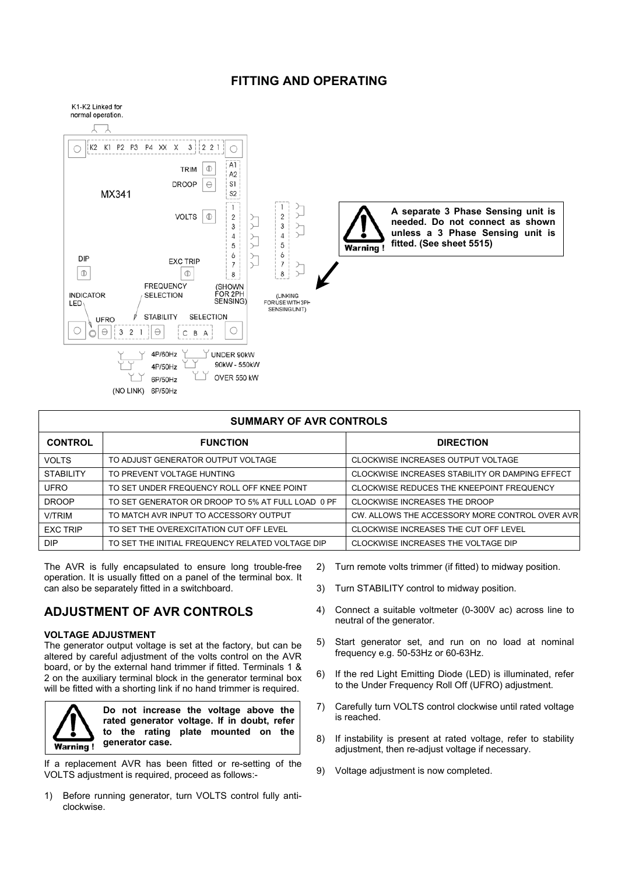### **FITTING AND OPERATING**



| <b>SUMMARY OF AVR CONTROLS</b> |                                                   |                                                 |  |
|--------------------------------|---------------------------------------------------|-------------------------------------------------|--|
| <b>CONTROL</b>                 | <b>FUNCTION</b>                                   | <b>DIRECTION</b>                                |  |
| <b>VOLTS</b>                   | TO ADJUST GENERATOR OUTPUT VOLTAGE                | CLOCKWISE INCREASES OUTPUT VOLTAGE              |  |
| <b>STABILITY</b>               | TO PREVENT VOLTAGE HUNTING                        | CLOCKWISE INCREASES STABILITY OR DAMPING EFFECT |  |
| <b>UFRO</b>                    | TO SET UNDER FREQUENCY ROLL OFF KNEE POINT        | CLOCKWISE REDUCES THE KNEEPOINT FREQUENCY       |  |
| <b>DROOP</b>                   | TO SET GENERATOR OR DROOP TO 5% AT FULL LOAD 0 PF | CLOCKWISE INCREASES THE DROOP                   |  |
| <b>V/TRIM</b>                  | TO MATCH AVR INPUT TO ACCESSORY OUTPUT            | CW. ALLOWS THE ACCESSORY MORE CONTROL OVER AVR  |  |
| <b>EXC TRIP</b>                | TO SET THE OVEREXCITATION CUT OFF LEVEL           | CLOCKWISE INCREASES THE CUT OFF LEVEL           |  |
| <b>DIP</b>                     | TO SET THE INITIAL FREQUENCY RELATED VOLTAGE DIP  | CLOCKWISE INCREASES THE VOLTAGE DIP             |  |

The AVR is fully encapsulated to ensure long trouble-free operation. It is usually fitted on a panel of the terminal box. It can also be separately fitted in a switchboard.

### **ADJUSTMENT OF AVR CONTROLS**

### **VOLTAGE ADJUSTMENT**

The generator output voltage is set at the factory, but can be altered by careful adjustment of the volts control on the AVR board, or by the external hand trimmer if fitted. Terminals 1 & 2 on the auxiliary terminal block in the generator terminal box will be fitted with a shorting link if no hand trimmer is required.



If a replacement AVR has been fitted or re-setting of the VOLTS adjustment is required, proceed as follows:-

1) Before running generator, turn VOLTS control fully anticlockwise.

- 2) Turn remote volts trimmer (if fitted) to midway position.
- 3) Turn STABILITY control to midway position.
- 4) Connect a suitable voltmeter (0-300V ac) across line to neutral of the generator.
- 5) Start generator set, and run on no load at nominal frequency e.g. 50-53Hz or 60-63Hz.
- 6) If the red Light Emitting Diode (LED) is illuminated, refer to the Under Frequency Roll Off (UFRO) adjustment.
- 7) Carefully turn VOLTS control clockwise until rated voltage is reached.
- 8) If instability is present at rated voltage, refer to stability adjustment, then re-adjust voltage if necessary.
- 9) Voltage adjustment is now completed.